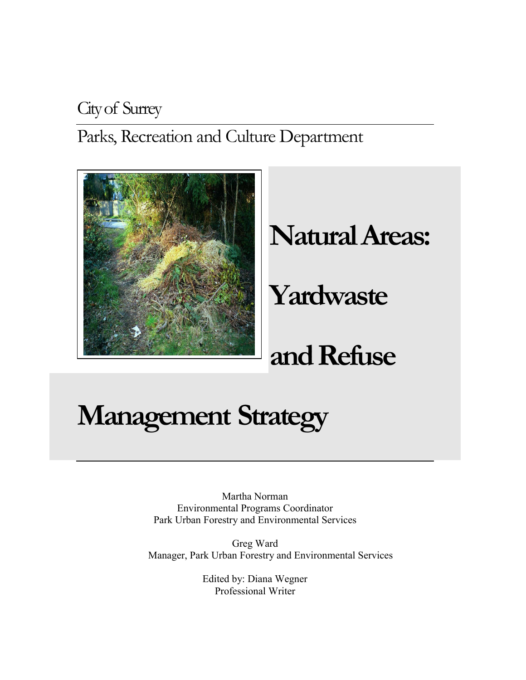City of Surrey

Parks, Recreation and Culture Department



# **Natural Areas:**

# **Yardwaste**

# **and Refuse**

# **Management Strategy**

Martha Norman Environmental Programs Coordinator Park Urban Forestry and Environmental Services

Greg Ward Manager, Park Urban Forestry and Environmental Services

> Edited by: Diana Wegner Professional Writer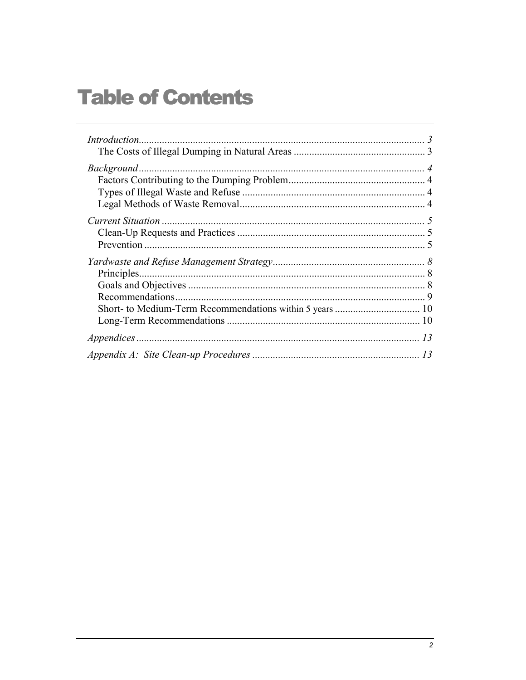# **Table of Contents**

| $Background \dots 4$ |  |
|----------------------|--|
|                      |  |
|                      |  |
|                      |  |
|                      |  |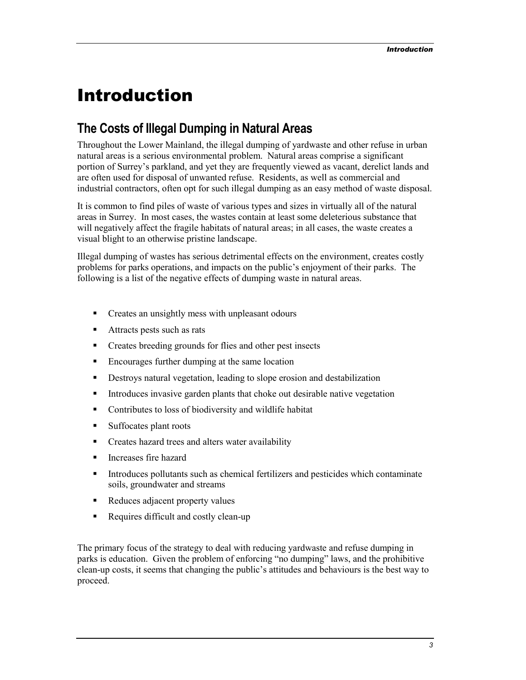# <span id="page-2-0"></span>Introduction

### **The Costs of Illegal Dumping in Natural Areas**

Throughout the Lower Mainland, the illegal dumping of yardwaste and other refuse in urban natural areas is a serious environmental problem. Natural areas comprise a significant portion of Surrey's parkland, and yet they are frequently viewed as vacant, derelict lands and are often used for disposal of unwanted refuse. Residents, as well as commercial and industrial contractors, often opt for such illegal dumping as an easy method of waste disposal.

It is common to find piles of waste of various types and sizes in virtually all of the natural areas in Surrey. In most cases, the wastes contain at least some deleterious substance that will negatively affect the fragile habitats of natural areas; in all cases, the waste creates a visual blight to an otherwise pristine landscape.

Illegal dumping of wastes has serious detrimental effects on the environment, creates costly problems for parks operations, and impacts on the public's enjoyment of their parks. The following is a list of the negative effects of dumping waste in natural areas.

- **•** Creates an unsightly mess with unpleasant odours
- **-** Attracts pests such as rats
- Creates breeding grounds for flies and other pest insects
- -Encourages further dumping at the same location
- -Destroys natural vegetation, leading to slope erosion and destabilization
- -Introduces invasive garden plants that choke out desirable native vegetation
- -Contributes to loss of biodiversity and wildlife habitat
- -Suffocates plant roots
- -Creates hazard trees and alters water availability
- -Increases fire hazard
- - Introduces pollutants such as chemical fertilizers and pesticides which contaminate soils, groundwater and streams
- -Reduces adjacent property values
- -Requires difficult and costly clean-up

The primary focus of the strategy to deal with reducing yardwaste and refuse dumping in parks is education. Given the problem of enforcing "no dumping" laws, and the prohibitive clean-up costs, it seems that changing the public's attitudes and behaviours is the best way to proceed.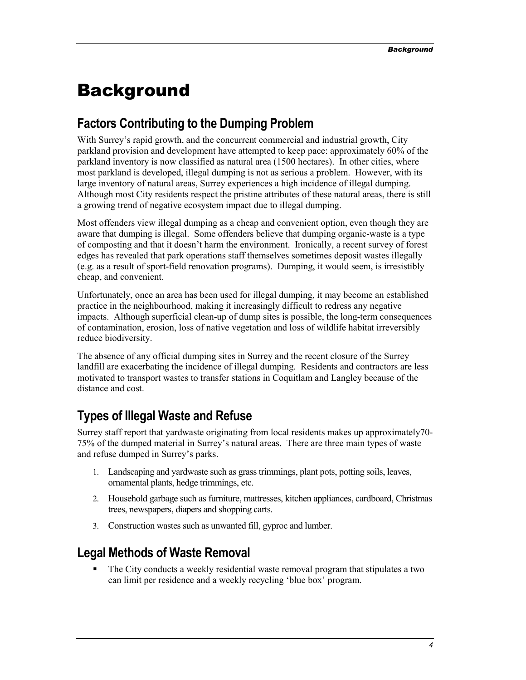# <span id="page-3-0"></span>Background

### **Factors Contributing to the Dumping Problem**

With Surrey's rapid growth, and the concurrent commercial and industrial growth, City parkland provision and development have attempted to keep pace: approximately 60% of the parkland inventory is now classified as natural area (1500 hectares). In other cities, where most parkland is developed, illegal dumping is not as serious a problem. However, with its large inventory of natural areas, Surrey experiences a high incidence of illegal dumping. Although most City residents respect the pristine attributes of these natural areas, there is still a growing trend of negative ecosystem impact due to illegal dumping.

Most offenders view illegal dumping as a cheap and convenient option, even though they are aware that dumping is illegal. Some offenders believe that dumping organic-waste is a type of composting and that it doesn't harm the environment. Ironically, a recent survey of forest edges has revealed that park operations staff themselves sometimes deposit wastes illegally (e.g. as a result of sport-field renovation programs). Dumping, it would seem, is irresistibly cheap, and convenient.

Unfortunately, once an area has been used for illegal dumping, it may become an established practice in the neighbourhood, making it increasingly difficult to redress any negative impacts. Although superficial clean-up of dump sites is possible, the long-term consequences of contamination, erosion, loss of native vegetation and loss of wildlife habitat irreversibly reduce biodiversity.

The absence of any official dumping sites in Surrey and the recent closure of the Surrey landfill are exacerbating the incidence of illegal dumping. Residents and contractors are less motivated to transport wastes to transfer stations in Coquitlam and Langley because of the distance and cost.

## **Types of Illegal Waste and Refuse**

Surrey staff report that yardwaste originating from local residents makes up approximately70- 75% of the dumped material in Surrey's natural areas. There are three main types of waste and refuse dumped in Surrey's parks.

- 1. Landscaping and yardwaste such as grass trimmings, plant pots, potting soils, leaves, ornamental plants, hedge trimmings, etc.
- 2. Household garbage such as furniture, mattresses, kitchen appliances, cardboard, Christmas trees, newspapers, diapers and shopping carts.
- 3. Construction wastes such as unwanted fill, gyproc and lumber.

## **Legal Methods of Waste Removal**

- The City conducts a weekly residential waste removal program that stipulates a two can limit per residence and a weekly recycling 'blue box' program.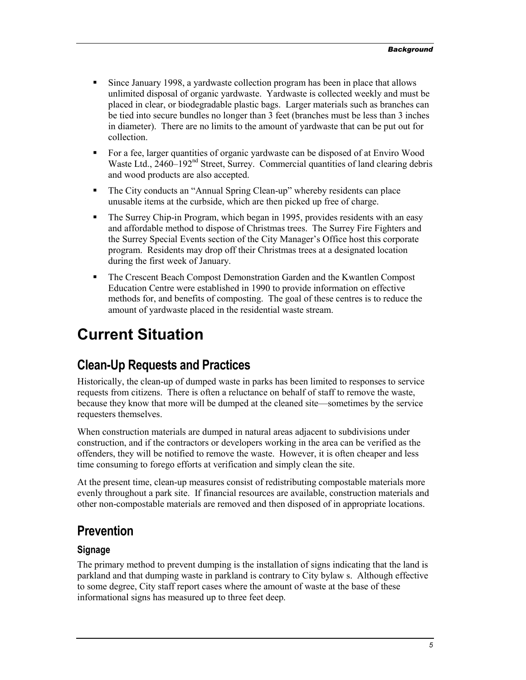- <span id="page-4-0"></span>- Since January 1998, a yardwaste collection program has been in place that allows unlimited disposal of organic yardwaste. Yardwaste is collected weekly and must be placed in clear, or biodegradable plastic bags. Larger materials such as branches can be tied into secure bundles no longer than 3 feet (branches must be less than 3 inches in diameter). There are no limits to the amount of yardwaste that can be put out for collection.
- - For a fee, larger quantities of organic yardwaste can be disposed of at Enviro Wood Waste Ltd.,  $2460-192<sup>nd</sup>$  Street, Surrey. Commercial quantities of land clearing debris and wood products are also accepted.
- - The City conducts an "Annual Spring Clean-up" whereby residents can place unusable items at the curbside, which are then picked up free of charge.
- - The Surrey Chip-in Program, which began in 1995, provides residents with an easy and affordable method to dispose of Christmas trees. The Surrey Fire Fighters and the Surrey Special Events section of the City Manager's Office host this corporate program. Residents may drop off their Christmas trees at a designated location during the first week of January.
- **The Crescent Beach Compost Demonstration Garden and the Kwantlen Compost** Education Centre were established in 1990 to provide information on effective methods for, and benefits of composting. The goal of these centres is to reduce the amount of yardwaste placed in the residential waste stream.

# **Current Situation**

## **Clean-Up Requests and Practices**

Historically, the clean-up of dumped waste in parks has been limited to responses to service requests from citizens. There is often a reluctance on behalf of staff to remove the waste, because they know that more will be dumped at the cleaned site—sometimes by the service requesters themselves.

When construction materials are dumped in natural areas adjacent to subdivisions under construction, and if the contractors or developers working in the area can be verified as the offenders, they will be notified to remove the waste. However, it is often cheaper and less time consuming to forego efforts at verification and simply clean the site.

At the present time, clean-up measures consist of redistributing compostable materials more evenly throughout a park site. If financial resources are available, construction materials and other non-compostable materials are removed and then disposed of in appropriate locations.

### **Prevention**

#### **Signage**

The primary method to prevent dumping is the installation of signs indicating that the land is parkland and that dumping waste in parkland is contrary to City bylaw s. Although effective to some degree, City staff report cases where the amount of waste at the base of these informational signs has measured up to three feet deep.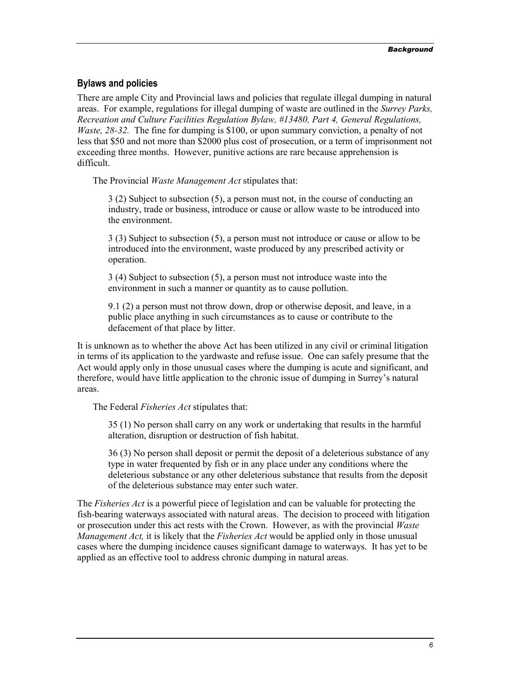#### **Bylaws and policies**

There are ample City and Provincial laws and policies that regulate illegal dumping in natural areas. For example, regulations for illegal dumping of waste are outlined in the *Surrey Parks, Recreation and Culture Facilities Regulation Bylaw, #13480, Part 4, General Regulations, Waste, 28-32.* The fine for dumping is \$100, or upon summary conviction, a penalty of not less that \$50 and not more than \$2000 plus cost of prosecution, or a term of imprisonment not exceeding three months. However, punitive actions are rare because apprehension is difficult.

The Provincial *Waste Management Act* stipulates that:

3 (2) Subject to subsection (5), a person must not, in the course of conducting an industry, trade or business, introduce or cause or allow waste to be introduced into the environment.

3 (3) Subject to subsection (5), a person must not introduce or cause or allow to be introduced into the environment, waste produced by any prescribed activity or operation.

3 (4) Subject to subsection (5), a person must not introduce waste into the environment in such a manner or quantity as to cause pollution.

9.1 (2) a person must not throw down, drop or otherwise deposit, and leave, in a public place anything in such circumstances as to cause or contribute to the defacement of that place by litter.

It is unknown as to whether the above Act has been utilized in any civil or criminal litigation in terms of its application to the yardwaste and refuse issue. One can safely presume that the Act would apply only in those unusual cases where the dumping is acute and significant, and therefore, would have little application to the chronic issue of dumping in Surrey's natural areas.

The Federal *Fisheries Act* stipulates that:

35 (1) No person shall carry on any work or undertaking that results in the harmful alteration, disruption or destruction of fish habitat.

36 (3) No person shall deposit or permit the deposit of a deleterious substance of any type in water frequented by fish or in any place under any conditions where the deleterious substance or any other deleterious substance that results from the deposit of the deleterious substance may enter such water.

The *Fisheries Act* is a powerful piece of legislation and can be valuable for protecting the fish-bearing waterways associated with natural areas. The decision to proceed with litigation or prosecution under this act rests with the Crown. However, as with the provincial *Waste Management Act,* it is likely that the *Fisheries Act* would be applied only in those unusual cases where the dumping incidence causes significant damage to waterways. It has yet to be applied as an effective tool to address chronic dumping in natural areas.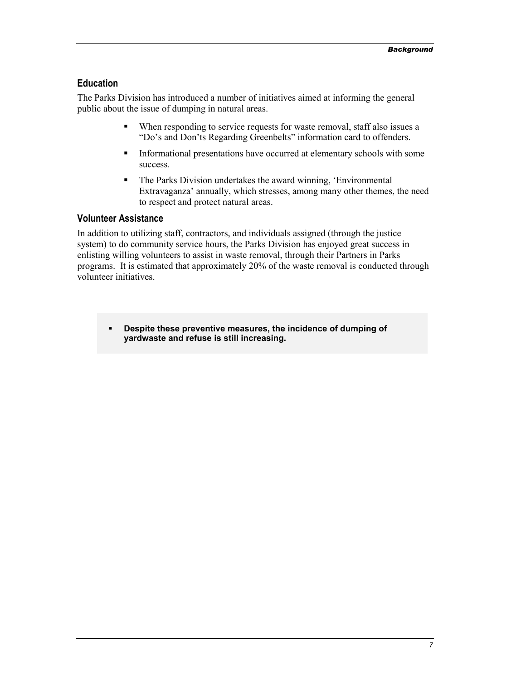#### **Education**

The Parks Division has introduced a number of initiatives aimed at informing the general public about the issue of dumping in natural areas.

- - When responding to service requests for waste removal, staff also issues a "Do's and Don'ts Regarding Greenbelts" information card to offenders.
- - Informational presentations have occurred at elementary schools with some success.
- - The Parks Division undertakes the award winning, 'Environmental Extravaganza' annually, which stresses, among many other themes, the need to respect and protect natural areas.

#### **Volunteer Assistance**

In addition to utilizing staff, contractors, and individuals assigned (through the justice system) to do community service hours, the Parks Division has enjoyed great success in enlisting willing volunteers to assist in waste removal, through their Partners in Parks programs. It is estimated that approximately 20% of the waste removal is conducted through volunteer initiatives.

- **Despite these preventive measures, the incidence of dumping of yardwaste and refuse is still increasing.**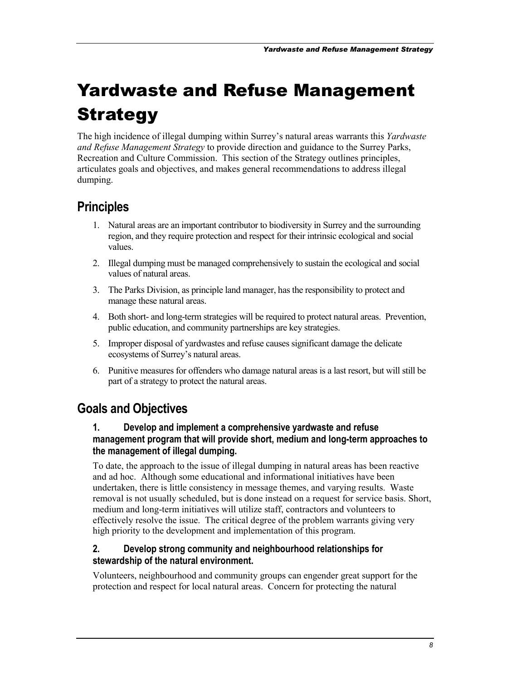# <span id="page-7-0"></span>Yardwaste and Refuse Management **Strategy**

The high incidence of illegal dumping within Surrey's natural areas warrants this *Yardwaste and Refuse Management Strategy* to provide direction and guidance to the Surrey Parks, Recreation and Culture Commission. This section of the Strategy outlines principles, articulates goals and objectives, and makes general recommendations to address illegal dumping.

## **Principles**

- 1. Natural areas are an important contributor to biodiversity in Surrey and the surrounding region, and they require protection and respect for their intrinsic ecological and social values.
- 2. Illegal dumping must be managed comprehensively to sustain the ecological and social values of natural areas.
- 3. The Parks Division, as principle land manager, has the responsibility to protect and manage these natural areas.
- 4. Both short- and long-term strategies will be required to protect natural areas. Prevention, public education, and community partnerships are key strategies.
- 5. Improper disposal of yardwastes and refuse causes significant damage the delicate ecosystems of Surrey's natural areas.
- 6. Punitive measures for offenders who damage natural areas is a last resort, but will still be part of a strategy to protect the natural areas.

## **Goals and Objectives**

#### **1. Develop and implement a comprehensive yardwaste and refuse management program that will provide short, medium and long-term approaches to the management of illegal dumping.**

To date, the approach to the issue of illegal dumping in natural areas has been reactive and ad hoc. Although some educational and informational initiatives have been undertaken, there is little consistency in message themes, and varying results. Waste removal is not usually scheduled, but is done instead on a request for service basis. Short, medium and long-term initiatives will utilize staff, contractors and volunteers to effectively resolve the issue. The critical degree of the problem warrants giving very high priority to the development and implementation of this program.

#### **2. Develop strong community and neighbourhood relationships for stewardship of the natural environment.**

Volunteers, neighbourhood and community groups can engender great support for the protection and respect for local natural areas. Concern for protecting the natural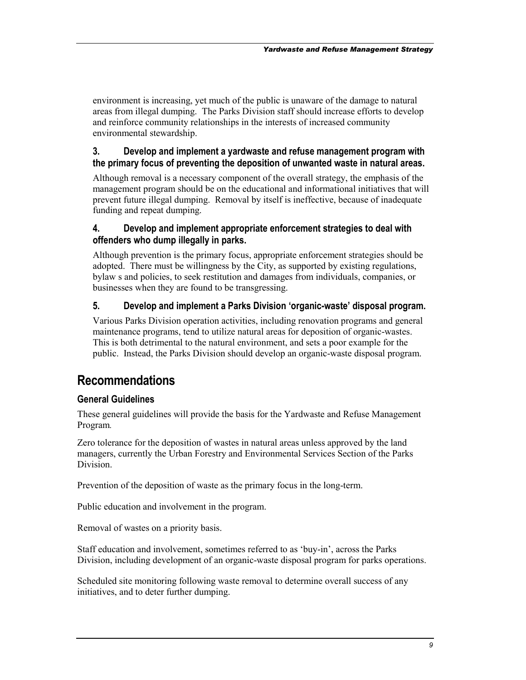<span id="page-8-0"></span>environment is increasing, yet much of the public is unaware of the damage to natural areas from illegal dumping. The Parks Division staff should increase efforts to develop and reinforce community relationships in the interests of increased community environmental stewardship.

#### **3. Develop and implement a yardwaste and refuse management program with the primary focus of preventing the deposition of unwanted waste in natural areas.**

Although removal is a necessary component of the overall strategy, the emphasis of the management program should be on the educational and informational initiatives that will prevent future illegal dumping. Removal by itself is ineffective, because of inadequate funding and repeat dumping.

#### **4. Develop and implement appropriate enforcement strategies to deal with offenders who dump illegally in parks.**

Although prevention is the primary focus, appropriate enforcement strategies should be adopted. There must be willingness by the City, as supported by existing regulations, bylaw s and policies, to seek restitution and damages from individuals, companies, or businesses when they are found to be transgressing.

#### **5. Develop and implement a Parks Division 'organic-waste' disposal program.**

Various Parks Division operation activities, including renovation programs and general maintenance programs, tend to utilize natural areas for deposition of organic-wastes. This is both detrimental to the natural environment, and sets a poor example for the public. Instead, the Parks Division should develop an organic-waste disposal program.

## **Recommendations**

#### **General Guidelines**

These general guidelines will provide the basis for the Yardwaste and Refuse Management Program*.* 

Zero tolerance for the deposition of wastes in natural areas unless approved by the land managers, currently the Urban Forestry and Environmental Services Section of the Parks Division.

Prevention of the deposition of waste as the primary focus in the long-term.

Public education and involvement in the program.

Removal of wastes on a priority basis.

Staff education and involvement, sometimes referred to as 'buy-in', across the Parks Division, including development of an organic-waste disposal program for parks operations.

Scheduled site monitoring following waste removal to determine overall success of any initiatives, and to deter further dumping.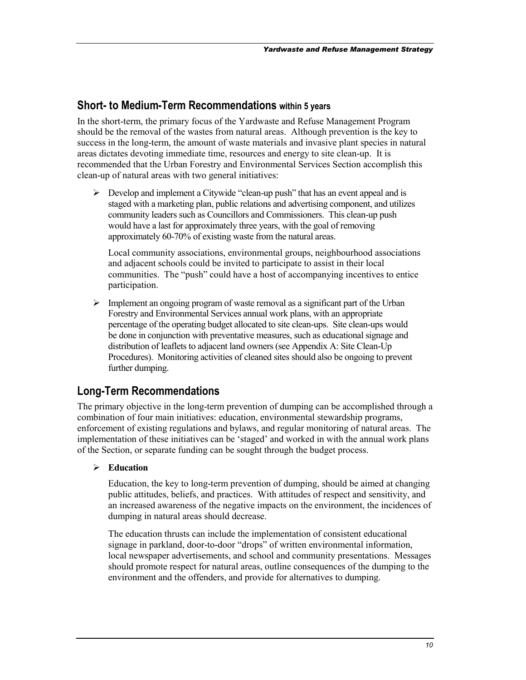#### <span id="page-9-0"></span>**Short- to Medium-Term Recommendations within 5 years**

In the short-term, the primary focus of the Yardwaste and Refuse Management Program should be the removal of the wastes from natural areas. Although prevention is the key to success in the long-term, the amount of waste materials and invasive plant species in natural areas dictates devoting immediate time, resources and energy to site clean-up. It is recommended that the Urban Forestry and Environmental Services Section accomplish this clean-up of natural areas with two general initiatives:

> Develop and implement a Citywide "clean-up push" that has an event appeal and is staged with a marketing plan, public relations and advertising component, and utilizes community leaders such as Councillors and Commissioners. This clean-up push would have a last for approximately three years, with the goal of removing approximately 60-70% of existing waste from the natural areas.

Local community associations, environmental groups, neighbourhood associations and adjacent schools could be invited to participate to assist in their local communities. The "push" could have a host of accompanying incentives to entice participation.

> Implement an ongoing program of waste removal as a significant part of the Urban Forestry and Environmental Services annual work plans, with an appropriate percentage of the operating budget allocated to site clean-ups. Site clean-ups would be done in conjunction with preventative measures, such as educational signage and distribution of leaflets to adjacent land owners (see Appendix A: Site Clean-Up Procedures). Monitoring activities of cleaned sites should also be ongoing to prevent further dumping.

#### **Long-Term Recommendations**

The primary objective in the long-term prevention of dumping can be accomplished through a combination of four main initiatives: education, environmental stewardship programs, enforcement of existing regulations and bylaws, and regular monitoring of natural areas. The implementation of these initiatives can be 'staged' and worked in with the annual work plans of the Section, or separate funding can be sought through the budget process.

#### -**Education**

Education, the key to long-term prevention of dumping, should be aimed at changing public attitudes, beliefs, and practices. With attitudes of respect and sensitivity, and an increased awareness of the negative impacts on the environment, the incidences of dumping in natural areas should decrease.

The education thrusts can include the implementation of consistent educational signage in parkland, door-to-door "drops" of written environmental information, local newspaper advertisements, and school and community presentations. Messages should promote respect for natural areas, outline consequences of the dumping to the environment and the offenders, and provide for alternatives to dumping.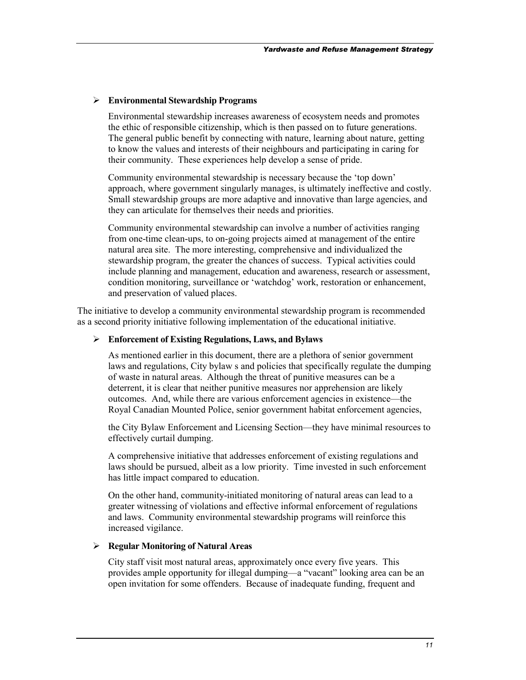#### -**Environmental Stewardship Programs**

Environmental stewardship increases awareness of ecosystem needs and promotes the ethic of responsible citizenship, which is then passed on to future generations. The general public benefit by connecting with nature, learning about nature, getting to know the values and interests of their neighbours and participating in caring for their community. These experiences help develop a sense of pride.

Community environmental stewardship is necessary because the 'top down' approach, where government singularly manages, is ultimately ineffective and costly. Small stewardship groups are more adaptive and innovative than large agencies, and they can articulate for themselves their needs and priorities.

Community environmental stewardship can involve a number of activities ranging from one-time clean-ups, to on-going projects aimed at management of the entire natural area site. The more interesting, comprehensive and individualized the stewardship program, the greater the chances of success. Typical activities could include planning and management, education and awareness, research or assessment, condition monitoring, surveillance or 'watchdog' work, restoration or enhancement, and preservation of valued places.

The initiative to develop a community environmental stewardship program is recommended as a second priority initiative following implementation of the educational initiative.

#### -**Enforcement of Existing Regulations, Laws, and Bylaws**

As mentioned earlier in this document, there are a plethora of senior government laws and regulations, City bylaw s and policies that specifically regulate the dumping of waste in natural areas. Although the threat of punitive measures can be a deterrent, it is clear that neither punitive measures nor apprehension are likely outcomes. And, while there are various enforcement agencies in existence—the Royal Canadian Mounted Police, senior government habitat enforcement agencies,

the City Bylaw Enforcement and Licensing Section—they have minimal resources to effectively curtail dumping.

A comprehensive initiative that addresses enforcement of existing regulations and laws should be pursued, albeit as a low priority. Time invested in such enforcement has little impact compared to education.

On the other hand, community-initiated monitoring of natural areas can lead to a greater witnessing of violations and effective informal enforcement of regulations and laws. Community environmental stewardship programs will reinforce this increased vigilance.

#### -**Regular Monitoring of Natural Areas**

City staff visit most natural areas, approximately once every five years. This provides ample opportunity for illegal dumping—a "vacant" looking area can be an open invitation for some offenders. Because of inadequate funding, frequent and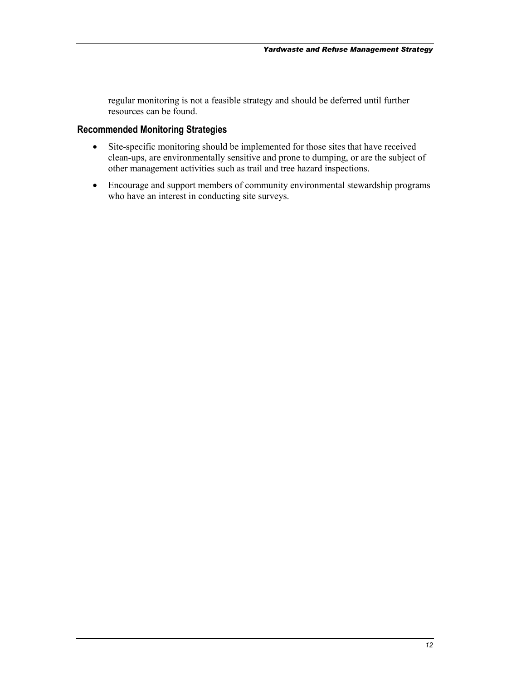regular monitoring is not a feasible strategy and should be deferred until further resources can be found.

#### **Recommended Monitoring Strategies**

- Site-specific monitoring should be implemented for those sites that have received clean-ups, are environmentally sensitive and prone to dumping, or are the subject of other management activities such as trail and tree hazard inspections.
- Encourage and support members of community environmental stewardship programs who have an interest in conducting site surveys.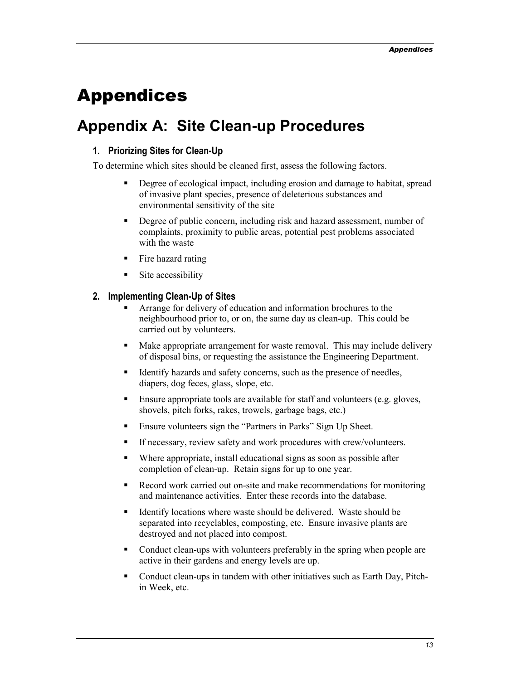# <span id="page-12-0"></span>Appendices

# **Appendix A: Site Clean-up Procedures**

#### **1. Priorizing Sites for Clean-Up**

To determine which sites should be cleaned first, assess the following factors.

- - Degree of ecological impact, including erosion and damage to habitat, spread of invasive plant species, presence of deleterious substances and environmental sensitivity of the site
- - Degree of public concern, including risk and hazard assessment, number of complaints, proximity to public areas, potential pest problems associated with the waste
- **Fire hazard rating**
- -Site accessibility

#### **2. Implementing Clean-Up of Sites**

- - Arrange for delivery of education and information brochures to the neighbourhood prior to, or on, the same day as clean-up. This could be carried out by volunteers.
- - Make appropriate arrangement for waste removal. This may include delivery of disposal bins, or requesting the assistance the Engineering Department.
- - Identify hazards and safety concerns, such as the presence of needles, diapers, dog feces, glass, slope, etc.
- - Ensure appropriate tools are available for staff and volunteers (e.g. gloves, shovels, pitch forks, rakes, trowels, garbage bags, etc.)
- -Ensure volunteers sign the "Partners in Parks" Sign Up Sheet.
- -If necessary, review safety and work procedures with crew/volunteers.
- - Where appropriate, install educational signs as soon as possible after completion of clean-up. Retain signs for up to one year.
- - Record work carried out on-site and make recommendations for monitoring and maintenance activities. Enter these records into the database.
- - Identify locations where waste should be delivered. Waste should be separated into recyclables, composting, etc. Ensure invasive plants are destroyed and not placed into compost.
- - Conduct clean-ups with volunteers preferably in the spring when people are active in their gardens and energy levels are up.
- - Conduct clean-ups in tandem with other initiatives such as Earth Day, Pitchin Week, etc.